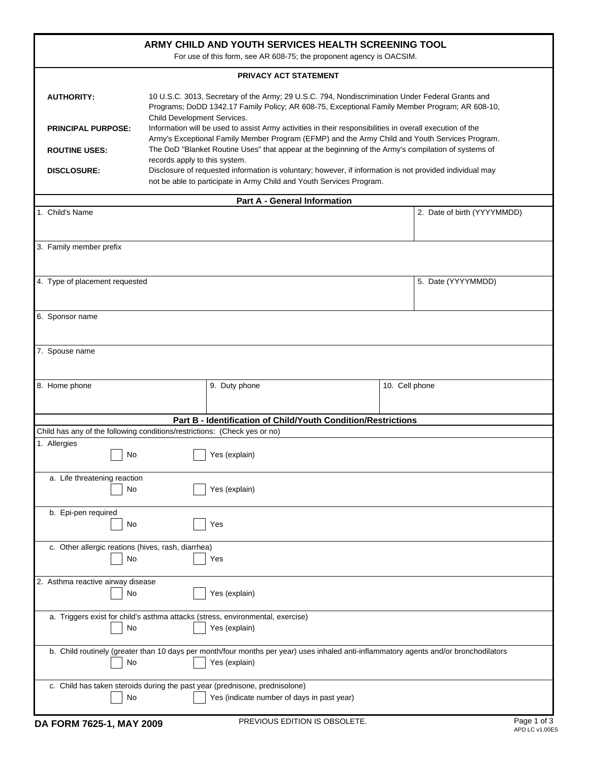| ARMY CHILD AND YOUTH SERVICES HEALTH SCREENING TOOL<br>For use of this form, see AR 608-75; the proponent agency is OACSIM.                                                                                                                                                                                                                                                                                                                                                                                                                                                                                                                                                                                                                                                                                                                                                 |    |               |                                                               |                             |             |
|-----------------------------------------------------------------------------------------------------------------------------------------------------------------------------------------------------------------------------------------------------------------------------------------------------------------------------------------------------------------------------------------------------------------------------------------------------------------------------------------------------------------------------------------------------------------------------------------------------------------------------------------------------------------------------------------------------------------------------------------------------------------------------------------------------------------------------------------------------------------------------|----|---------------|---------------------------------------------------------------|-----------------------------|-------------|
| <b>PRIVACY ACT STATEMENT</b>                                                                                                                                                                                                                                                                                                                                                                                                                                                                                                                                                                                                                                                                                                                                                                                                                                                |    |               |                                                               |                             |             |
| 10 U.S.C. 3013, Secretary of the Army; 29 U.S.C. 794, Nondiscrimination Under Federal Grants and<br><b>AUTHORITY:</b><br>Programs; DoDD 1342.17 Family Policy; AR 608-75, Exceptional Family Member Program; AR 608-10,<br>Child Development Services.<br>Information will be used to assist Army activities in their responsibilities in overall execution of the<br><b>PRINCIPAL PURPOSE:</b><br>Army's Exceptional Family Member Program (EFMP) and the Army Child and Youth Services Program.<br>The DoD "Blanket Routine Uses" that appear at the beginning of the Army's compilation of systems of<br><b>ROUTINE USES:</b><br>records apply to this system.<br>Disclosure of requested information is voluntary; however, if information is not provided individual may<br><b>DISCLOSURE:</b><br>not be able to participate in Army Child and Youth Services Program. |    |               |                                                               |                             |             |
| <b>Part A - General Information</b>                                                                                                                                                                                                                                                                                                                                                                                                                                                                                                                                                                                                                                                                                                                                                                                                                                         |    |               |                                                               |                             |             |
| 1. Child's Name                                                                                                                                                                                                                                                                                                                                                                                                                                                                                                                                                                                                                                                                                                                                                                                                                                                             |    |               |                                                               | 2. Date of birth (YYYYMMDD) |             |
| 3. Family member prefix                                                                                                                                                                                                                                                                                                                                                                                                                                                                                                                                                                                                                                                                                                                                                                                                                                                     |    |               |                                                               |                             |             |
| 4. Type of placement requested                                                                                                                                                                                                                                                                                                                                                                                                                                                                                                                                                                                                                                                                                                                                                                                                                                              |    |               |                                                               | 5. Date (YYYYMMDD)          |             |
| 6. Sponsor name                                                                                                                                                                                                                                                                                                                                                                                                                                                                                                                                                                                                                                                                                                                                                                                                                                                             |    |               |                                                               |                             |             |
| 7. Spouse name                                                                                                                                                                                                                                                                                                                                                                                                                                                                                                                                                                                                                                                                                                                                                                                                                                                              |    |               |                                                               |                             |             |
| 8. Home phone                                                                                                                                                                                                                                                                                                                                                                                                                                                                                                                                                                                                                                                                                                                                                                                                                                                               |    | 9. Duty phone |                                                               | 10. Cell phone              |             |
|                                                                                                                                                                                                                                                                                                                                                                                                                                                                                                                                                                                                                                                                                                                                                                                                                                                                             |    |               | Part B - Identification of Child/Youth Condition/Restrictions |                             |             |
| Child has any of the following conditions/restrictions: (Check yes or no)<br>1. Allergies                                                                                                                                                                                                                                                                                                                                                                                                                                                                                                                                                                                                                                                                                                                                                                                   |    |               |                                                               |                             |             |
|                                                                                                                                                                                                                                                                                                                                                                                                                                                                                                                                                                                                                                                                                                                                                                                                                                                                             | No | Yes (explain) |                                                               |                             |             |
| a. Life threatening reaction                                                                                                                                                                                                                                                                                                                                                                                                                                                                                                                                                                                                                                                                                                                                                                                                                                                | No | Yes (explain) |                                                               |                             |             |
| b. Epi-pen required<br>No<br>Yes                                                                                                                                                                                                                                                                                                                                                                                                                                                                                                                                                                                                                                                                                                                                                                                                                                            |    |               |                                                               |                             |             |
| c. Other allergic reations (hives, rash, diarrhea)                                                                                                                                                                                                                                                                                                                                                                                                                                                                                                                                                                                                                                                                                                                                                                                                                          | No | Yes           |                                                               |                             |             |
| 2. Asthma reactive airway disease                                                                                                                                                                                                                                                                                                                                                                                                                                                                                                                                                                                                                                                                                                                                                                                                                                           | No | Yes (explain) |                                                               |                             |             |
| a. Triggers exist for child's asthma attacks (stress, environmental, exercise)<br>No<br>Yes (explain)                                                                                                                                                                                                                                                                                                                                                                                                                                                                                                                                                                                                                                                                                                                                                                       |    |               |                                                               |                             |             |
| b. Child routinely (greater than 10 days per month/four months per year) uses inhaled anti-inflammatory agents and/or bronchodilators<br>Yes (explain)<br>No                                                                                                                                                                                                                                                                                                                                                                                                                                                                                                                                                                                                                                                                                                                |    |               |                                                               |                             |             |
| c. Child has taken steroids during the past year (prednisone, prednisolone)<br>Yes (indicate number of days in past year)<br>No                                                                                                                                                                                                                                                                                                                                                                                                                                                                                                                                                                                                                                                                                                                                             |    |               |                                                               |                             |             |
| DA FODM 7005 4 MAY 2000                                                                                                                                                                                                                                                                                                                                                                                                                                                                                                                                                                                                                                                                                                                                                                                                                                                     |    |               | PREVIOUS EDITION IS OBSOLETE                                  |                             | Page 1 of 3 |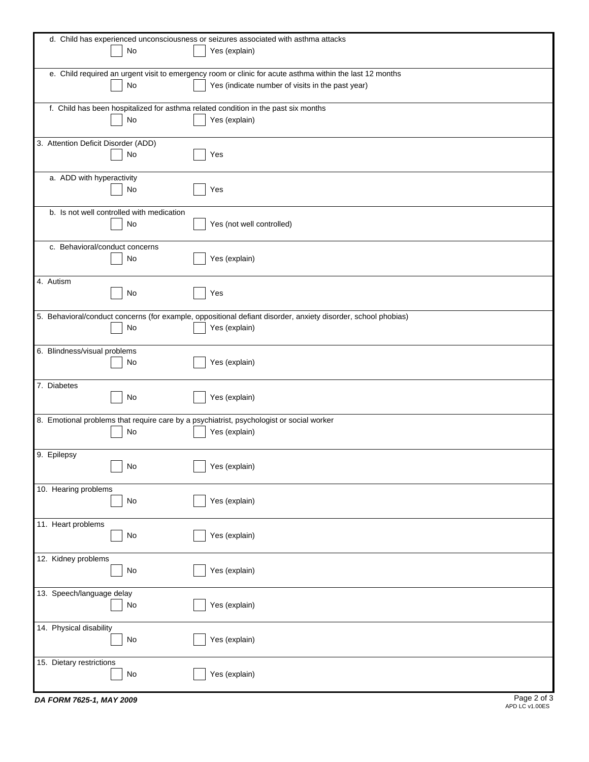| d. Child has experienced unconsciousness or seizures associated with asthma attacks                           |  |
|---------------------------------------------------------------------------------------------------------------|--|
| No<br>Yes (explain)                                                                                           |  |
| e. Child required an urgent visit to emergency room or clinic for acute asthma within the last 12 months      |  |
| No<br>Yes (indicate number of visits in the past year)                                                        |  |
|                                                                                                               |  |
| f. Child has been hospitalized for asthma related condition in the past six months<br>No<br>Yes (explain)     |  |
|                                                                                                               |  |
| 3. Attention Deficit Disorder (ADD)                                                                           |  |
| Yes<br>No                                                                                                     |  |
| a. ADD with hyperactivity                                                                                     |  |
| Yes<br>No                                                                                                     |  |
|                                                                                                               |  |
| b. Is not well controlled with medication<br>Yes (not well controlled)<br>No                                  |  |
|                                                                                                               |  |
| c. Behavioral/conduct concerns                                                                                |  |
| Yes (explain)<br>No                                                                                           |  |
| 4. Autism                                                                                                     |  |
| No<br>Yes                                                                                                     |  |
| 5. Behavioral/conduct concerns (for example, oppositional defiant disorder, anxiety disorder, school phobias) |  |
| No<br>Yes (explain)                                                                                           |  |
|                                                                                                               |  |
| 6. Blindness/visual problems                                                                                  |  |
| Yes (explain)<br>No                                                                                           |  |
| 7. Diabetes                                                                                                   |  |
| Yes (explain)<br>No                                                                                           |  |
| 8. Emotional problems that require care by a psychiatrist, psychologist or social worker                      |  |
| No<br>Yes (explain)                                                                                           |  |
|                                                                                                               |  |
| 9. Epilepsy                                                                                                   |  |
| Yes (explain)<br>No                                                                                           |  |
| 10. Hearing problems                                                                                          |  |
| Yes (explain)<br>$\mathsf{No}$                                                                                |  |
| 11. Heart problems                                                                                            |  |
| Yes (explain)<br>$\mathsf{No}$                                                                                |  |
|                                                                                                               |  |
| 12. Kidney problems                                                                                           |  |
| Yes (explain)<br>$\mathsf{No}$                                                                                |  |
| 13. Speech/language delay                                                                                     |  |
| Yes (explain)<br>No                                                                                           |  |
|                                                                                                               |  |
| 14. Physical disability<br>Yes (explain)<br>$\mathsf{No}$                                                     |  |
|                                                                                                               |  |
| 15. Dietary restrictions                                                                                      |  |
| No<br>Yes (explain)                                                                                           |  |
| Dao 2 of 3                                                                                                    |  |